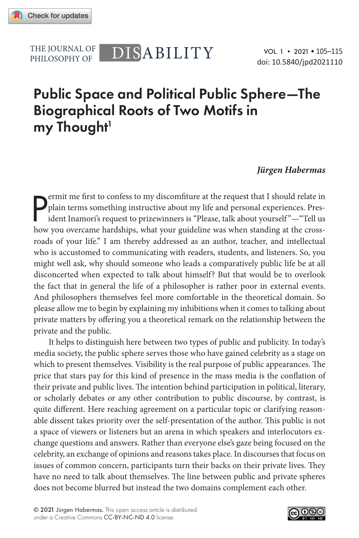PHILOSOPHY OF

# THE JOURNAL OF DISABILITY

## Public Space and Political Public Sphere—The Biographical Roots of Two Motifs in  $my$  Thought<sup>1</sup>

### *Jürgen Habermas*

P ermit me first to confess to my discomfiture at the request that I should relate in plain terms something instructive about my life and personal experiences. President Inamori's request to prizewinners is "Please, talk about yourself"-"Tell us how you overcame hardships, what your guideline was when standing at the crossroads of your life." I am thereby addressed as an author, teacher, and intellectual who is accustomed to communicating with readers, students, and listeners. So, you might well ask, why should someone who leads a comparatively public life be at all disconcerted when expected to talk about himself? But that would be to overlook the fact that in general the life of a philosopher is rather poor in external events. And philosophers themselves feel more comfortable in the theoretical domain. So please allow me to begin by explaining my inhibitions when it comes to talking about private matters by offering you a theoretical remark on the relationship between the private and the public.

It helps to distinguish here between two types of public and publicity. In today's media society, the public sphere serves those who have gained celebrity as a stage on which to present themselves. Visibility is the real purpose of public appearances. The price that stars pay for this kind of presence in the mass media is the conflation of their private and public lives. The intention behind participation in political, literary, or scholarly debates or any other contribution to public discourse, by contrast, is quite different. Here reaching agreement on a particular topic or clarifying reasonable dissent takes priority over the self-presentation of the author. This public is not a space of viewers or listeners but an arena in which speakers and interlocutors exchange questions and answers. Rather than everyone else's gaze being focused on the celebrity, an exchange of opinions and reasons takes place. In discourses that focus on issues of common concern, participants turn their backs on their private lives. They have no need to talk about themselves. The line between public and private spheres does not become blurred but instead the two domains complement each other.

© 2021 Jürgen Habermas. This open access article is distributed under a Creative Commons CC-BY-NC-ND 4.0 license.

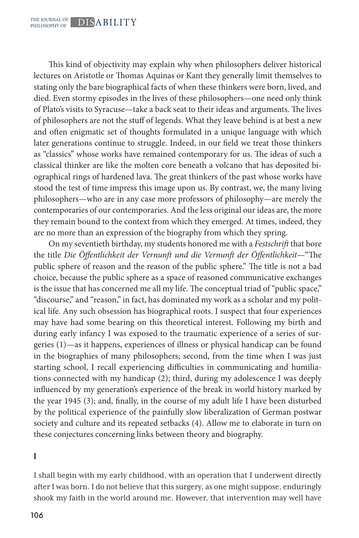This kind of objectivity may explain why when philosophers deliver historical lectures on Aristotle or Thomas Aquinas or Kant they generally limit themselves to stating only the bare biographical facts of when these thinkers were born, lived, and died. Even stormy episodes in the lives of these philosophers—one need only think of Plato's visits to Syracuse—take a back seat to their ideas and arguments. The lives of philosophers are not the stuff of legends. What they leave behind is at best a new and often enigmatic set of thoughts formulated in a unique language with which later generations continue to struggle. Indeed, in our field we treat those thinkers as "classics" whose works have remained contemporary for us. The ideas of such a classical thinker are like the molten core beneath a volcano that has deposited biographical rings of hardened lava. The great thinkers of the past whose works have stood the test of time impress this image upon us. By contrast, we, the many living philosophers—who are in any case more professors of philosophy—are merely the contemporaries of our contemporaries. And the less original our ideas are, the more they remain bound to the context from which they emerged. At times, indeed, they are no more than an expression of the biography from which they spring.

On my seventieth birthday, my students honored me with a *Festschrift* that bore the title *Die Öffentlichkeit der Vernunft und die Vernunft der Öffentlichkeit—*"The public sphere of reason and the reason of the public sphere." The title is not a bad choice, because the public sphere as a space of reasoned communicative exchanges is the issue that has concerned me all my life. The conceptual triad of "public space," "discourse," and "reason," in fact, has dominated my work as a scholar and my political life. Any such obsession has biographical roots. I suspect that four experiences may have had some bearing on this theoretical interest. Following my birth and during early infancy I was exposed to the traumatic experience of a series of surgeries (1)—as it happens, experiences of illness or physical handicap can be found in the biographies of many philosophers; second, from the time when I was just starting school, I recall experiencing difficulties in communicating and humiliations connected with my handicap (2); third, during my adolescence I was deeply influenced by my generation's experience of the break in world history marked by the year 1945 (3); and, finally, in the course of my adult life I have been disturbed by the political experience of the painfully slow liberalization of German postwar society and culture and its repeated setbacks (4). Allow me to elaborate in turn on these conjectures concerning links between theory and biography.

I

I shall begin with my early childhood, with an operation that I underwent directly after I was born. I do not believe that this surgery, as one might suppose, enduringly shook my faith in the world around me. However, that intervention may well have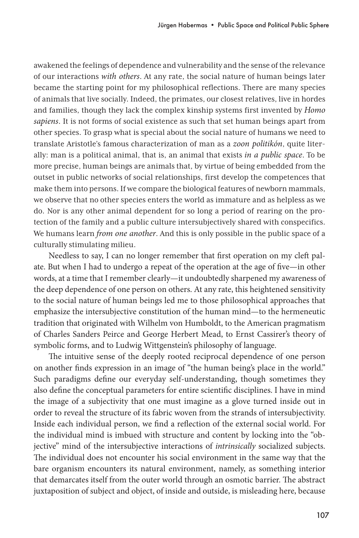awakened the feelings of dependence and vulnerability and the sense of the relevance of our interactions *with others*. At any rate, the social nature of human beings later became the starting point for my philosophical reflections. There are many species of animals that live socially. Indeed, the primates, our closest relatives, live in hordes and families, though they lack the complex kinship systems first invented by *Homo sapiens*. It is not forms of social existence as such that set human beings apart from other species. To grasp what is special about the social nature of humans we need to translate Aristotle's famous characterization of man as a *zoon politikón*, quite literally: man is a political animal, that is, an animal that exists *in a public space*. To be more precise, human beings are animals that, by virtue of being embedded from the outset in public networks of social relationships, first develop the competences that make them into persons. If we compare the biological features of newborn mammals, we observe that no other species enters the world as immature and as helpless as we do. Nor is any other animal dependent for so long a period of rearing on the protection of the family and a public culture intersubjectively shared with conspecifics. We humans learn *from one another*. And this is only possible in the public space of a culturally stimulating milieu.

Needless to say, I can no longer remember that first operation on my cleft palate. But when I had to undergo a repeat of the operation at the age of five—in other words, at a time that I remember clearly—it undoubtedly sharpened my awareness of the deep dependence of one person on others. At any rate, this heightened sensitivity to the social nature of human beings led me to those philosophical approaches that emphasize the intersubjective constitution of the human mind—to the hermeneutic tradition that originated with Wilhelm von Humboldt, to the American pragmatism of Charles Sanders Peirce and George Herbert Mead, to Ernst Cassirer's theory of symbolic forms, and to Ludwig Wittgenstein's philosophy of language.

The intuitive sense of the deeply rooted reciprocal dependence of one person on another finds expression in an image of "the human being's place in the world." Such paradigms define our everyday self-understanding, though sometimes they also define the conceptual parameters for entire scientific disciplines. I have in mind the image of a subjectivity that one must imagine as a glove turned inside out in order to reveal the structure of its fabric woven from the strands of intersubjectivity. Inside each individual person, we find a reflection of the external social world. For the individual mind is imbued with structure and content by locking into the "objective" mind of the intersubjective interactions of *intrinsically* socialized subjects. The individual does not encounter his social environment in the same way that the bare organism encounters its natural environment, namely, as something interior that demarcates itself from the outer world through an osmotic barrier. The abstract juxtaposition of subject and object, of inside and outside, is misleading here, because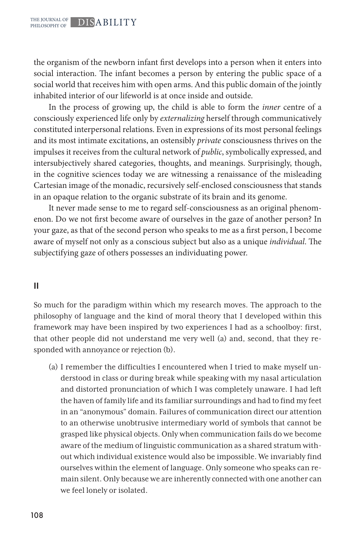the organism of the newborn infant first develops into a person when it enters into social interaction. The infant becomes a person by entering the public space of a social world that receives him with open arms. And this public domain of the jointly inhabited interior of our lifeworld is at once inside and outside.

In the process of growing up, the child is able to form the *inner* centre of a consciously experienced life only by *externalizing* herself through communicatively constituted interpersonal relations. Even in expressions of its most personal feelings and its most intimate excitations, an ostensibly *private* consciousness thrives on the impulses it receives from the cultural network of *public*, symbolically expressed, and intersubjectively shared categories, thoughts, and meanings. Surprisingly, though, in the cognitive sciences today we are witnessing a renaissance of the misleading Cartesian image of the monadic, recursively self-enclosed consciousness that stands in an opaque relation to the organic substrate of its brain and its genome.

It never made sense to me to regard self-consciousness as an original phenomenon. Do we not first become aware of ourselves in the gaze of another person? In your gaze, as that of the second person who speaks to me as a first person, I become aware of myself not only as a conscious subject but also as a unique *individual*. The subjectifying gaze of others possesses an individuating power.

#### II

So much for the paradigm within which my research moves. The approach to the philosophy of language and the kind of moral theory that I developed within this framework may have been inspired by two experiences I had as a schoolboy: first, that other people did not understand me very well (a) and, second, that they responded with annoyance or rejection (b).

(a) I remember the difficulties I encountered when I tried to make myself understood in class or during break while speaking with my nasal articulation and distorted pronunciation of which I was completely unaware. I had left the haven of family life and its familiar surroundings and had to find my feet in an "anonymous" domain. Failures of communication direct our attention to an otherwise unobtrusive intermediary world of symbols that cannot be grasped like physical objects. Only when communication fails do we become aware of the medium of linguistic communication as a shared stratum without which individual existence would also be impossible. We invariably find ourselves within the element of language. Only someone who speaks can remain silent. Only because we are inherently connected with one another can we feel lonely or isolated.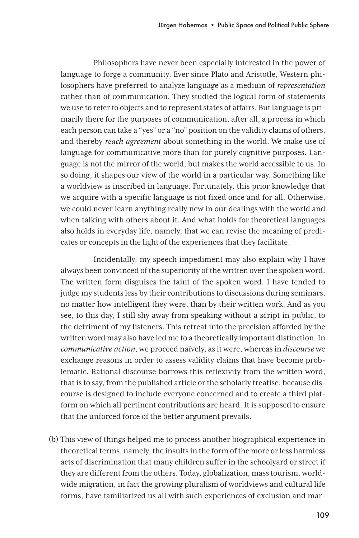Philosophers have never been especially interested in the power of language to forge a community. Ever since Plato and Aristotle, Western philosophers have preferred to analyze language as a medium of *representation* rather than of communication. They studied the logical form of statements we use to refer to objects and to represent states of affairs. But language is primarily there for the purposes of communication, after all, a process in which each person can take a "yes" or a "no" position on the validity claims of others, and thereby *reach agreement* about something in the world. We make use of language for communicative more than for purely cognitive purposes. Language is not the mirror of the world, but makes the world accessible to us. In so doing, it shapes our view of the world in a particular way. Something like a worldview is inscribed in language. Fortunately, this prior knowledge that we acquire with a specific language is not fixed once and for all. Otherwise, we could never learn anything really new in our dealings with the world and when talking with others about it. And what holds for theoretical languages also holds in everyday life, namely, that we can revise the meaning of predicates or concepts in the light of the experiences that they facilitate.

 Incidentally, my speech impediment may also explain why I have always been convinced of the superiority of the written over the spoken word. The written form disguises the taint of the spoken word. I have tended to judge my students less by their contributions to discussions during seminars, no matter how intelligent they were, than by their written work. And as you see, to this day, I still shy away from speaking without a script in public, to the detriment of my listeners. This retreat into the precision afforded by the written word may also have led me to a theoretically important distinction. In *communicative action*, we proceed naïvely, as it were, whereas in *discourse* we exchange reasons in order to assess validity claims that have become problematic. Rational discourse borrows this reflexivity from the written word, that is to say, from the published article or the scholarly treatise, because discourse is designed to include everyone concerned and to create a third platform on which all pertinent contributions are heard. It is supposed to ensure that the unforced force of the better argument prevails.

(b) This view of things helped me to process another biographical experience in theoretical terms, namely, the insults in the form of the more or less harmless acts of discrimination that many children suffer in the schoolyard or street if they are different from the others. Today, globalization, mass tourism, worldwide migration, in fact the growing pluralism of worldviews and cultural life forms, have familiarized us all with such experiences of exclusion and mar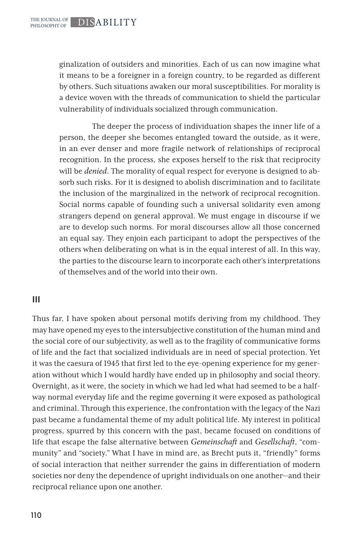ginalization of outsiders and minorities. Each of us can now imagine what it means to be a foreigner in a foreign country, to be regarded as different by others. Such situations awaken our moral susceptibilities. For morality is a device woven with the threads of communication to shield the particular vulnerability of individuals socialized through communication.

 The deeper the process of individuation shapes the inner life of a person, the deeper she becomes entangled toward the outside, as it were, in an ever denser and more fragile network of relationships of reciprocal recognition. In the process, she exposes herself to the risk that reciprocity will be *denied*. The morality of equal respect for everyone is designed to absorb such risks. For it is designed to abolish discrimination and to facilitate the inclusion of the marginalized in the network of reciprocal recognition. Social norms capable of founding such a universal solidarity even among strangers depend on general approval. We must engage in discourse if we are to develop such norms. For moral discourses allow all those concerned an equal say. They enjoin each participant to adopt the perspectives of the others when deliberating on what is in the equal interest of all. In this way, the parties to the discourse learn to incorporate each other's interpretations of themselves and of the world into their own.

#### III

Thus far, I have spoken about personal motifs deriving from my childhood. They may have opened my eyes to the intersubjective constitution of the human mind and the social core of our subjectivity, as well as to the fragility of communicative forms of life and the fact that socialized individuals are in need of special protection. Yet it was the caesura of 1945 that first led to the eye-opening experience for my generation without which I would hardly have ended up in philosophy and social theory. Overnight, as it were, the society in which we had led what had seemed to be a halfway normal everyday life and the regime governing it were exposed as pathological and criminal. Through this experience, the confrontation with the legacy of the Nazi past became a fundamental theme of my adult political life. My interest in political progress, spurred by this concern with the past, became focused on conditions of life that escape the false alternative between *Gemeinschaft* and *Gesellschaft*, "community" and "society." What I have in mind are, as Brecht puts it, "friendly" forms of social interaction that neither surrender the gains in differentiation of modern societies nor deny the dependence of upright individuals on one another—and their reciprocal reliance upon one another.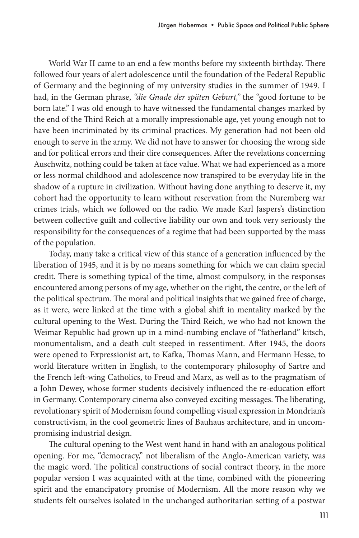World War II came to an end a few months before my sixteenth birthday. There followed four years of alert adolescence until the foundation of the Federal Republic of Germany and the beginning of my university studies in the summer of 1949. I had, in the German phrase, *"die Gnade der späten Geburt,"* the "good fortune to be born late." I was old enough to have witnessed the fundamental changes marked by the end of the Third Reich at a morally impressionable age, yet young enough not to have been incriminated by its criminal practices. My generation had not been old enough to serve in the army. We did not have to answer for choosing the wrong side and for political errors and their dire consequences. After the revelations concerning Auschwitz, nothing could be taken at face value. What we had experienced as a more or less normal childhood and adolescence now transpired to be everyday life in the shadow of a rupture in civilization. Without having done anything to deserve it, my cohort had the opportunity to learn without reservation from the Nuremberg war crimes trials, which we followed on the radio. We made Karl Jaspers's distinction between collective guilt and collective liability our own and took very seriously the responsibility for the consequences of a regime that had been supported by the mass of the population.

Today, many take a critical view of this stance of a generation influenced by the liberation of 1945, and it is by no means something for which we can claim special credit. There is something typical of the time, almost compulsory, in the responses encountered among persons of my age, whether on the right, the centre, or the left of the political spectrum. The moral and political insights that we gained free of charge, as it were, were linked at the time with a global shift in mentality marked by the cultural opening to the West. During the Third Reich, we who had not known the Weimar Republic had grown up in a mind-numbing enclave of "fatherland" kitsch, monumentalism, and a death cult steeped in ressentiment. After 1945, the doors were opened to Expressionist art, to Kafka, Thomas Mann, and Hermann Hesse, to world literature written in English, to the contemporary philosophy of Sartre and the French left-wing Catholics, to Freud and Marx, as well as to the pragmatism of a John Dewey, whose former students decisively influenced the re-education effort in Germany. Contemporary cinema also conveyed exciting messages. The liberating, revolutionary spirit of Modernism found compelling visual expression in Mondrian's constructivism, in the cool geometric lines of Bauhaus architecture, and in uncompromising industrial design.

The cultural opening to the West went hand in hand with an analogous political opening. For me, "democracy," not liberalism of the Anglo-American variety, was the magic word. The political constructions of social contract theory, in the more popular version I was acquainted with at the time, combined with the pioneering spirit and the emancipatory promise of Modernism. All the more reason why we students felt ourselves isolated in the unchanged authoritarian setting of a postwar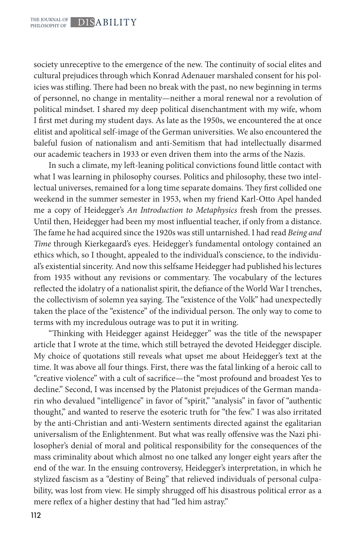society unreceptive to the emergence of the new. The continuity of social elites and cultural prejudices through which Konrad Adenauer marshaled consent for his policies was stifling. There had been no break with the past, no new beginning in terms of personnel, no change in mentality—neither a moral renewal nor a revolution of political mindset. I shared my deep political disenchantment with my wife, whom I first met during my student days. As late as the 1950s, we encountered the at once elitist and apolitical self-image of the German universities. We also encountered the baleful fusion of nationalism and anti-Semitism that had intellectually disarmed our academic teachers in 1933 or even driven them into the arms of the Nazis.

In such a climate, my left-leaning political convictions found little contact with what I was learning in philosophy courses. Politics and philosophy, these two intellectual universes, remained for a long time separate domains. They first collided one weekend in the summer semester in 1953, when my friend Karl-Otto Apel handed me a copy of Heidegger's *An Introduction to Metaphysics* fresh from the presses. Until then, Heidegger had been my most influential teacher, if only from a distance. The fame he had acquired since the 1920s was still untarnished. I had read *Being and Time* through Kierkegaard's eyes. Heidegger's fundamental ontology contained an ethics which, so I thought, appealed to the individual's conscience, to the individual's existential sincerity. And now this selfsame Heidegger had published his lectures from 1935 without any revisions or commentary. The vocabulary of the lectures reflected the idolatry of a nationalist spirit, the defiance of the World War I trenches, the collectivism of solemn yea saying. The "existence of the Volk" had unexpectedly taken the place of the "existence" of the individual person. The only way to come to terms with my incredulous outrage was to put it in writing.

"Thinking with Heidegger against Heidegger" was the title of the newspaper article that I wrote at the time, which still betrayed the devoted Heidegger disciple. My choice of quotations still reveals what upset me about Heidegger's text at the time. It was above all four things. First, there was the fatal linking of a heroic call to "creative violence" with a cult of sacrifice—the "most profound and broadest Yes to decline." Second, I was incensed by the Platonist prejudices of the German mandarin who devalued "intelligence" in favor of "spirit," "analysis" in favor of "authentic thought," and wanted to reserve the esoteric truth for "the few." I was also irritated by the anti-Christian and anti-Western sentiments directed against the egalitarian universalism of the Enlightenment. But what was really offensive was the Nazi philosopher's denial of moral and political responsibility for the consequences of the mass criminality about which almost no one talked any longer eight years after the end of the war. In the ensuing controversy, Heidegger's interpretation, in which he stylized fascism as a "destiny of Being" that relieved individuals of personal culpability, was lost from view. He simply shrugged off his disastrous political error as a mere reflex of a higher destiny that had "led him astray."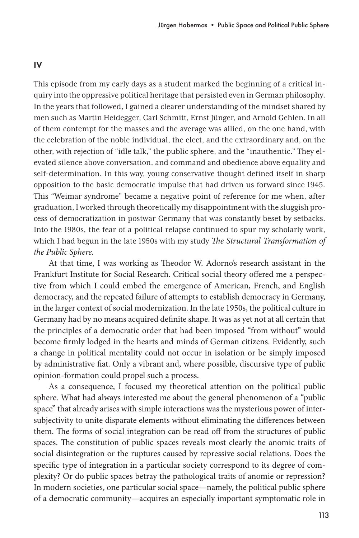#### IV

This episode from my early days as a student marked the beginning of a critical inquiry into the oppressive political heritage that persisted even in German philosophy. In the years that followed, I gained a clearer understanding of the mindset shared by men such as Martin Heidegger, Carl Schmitt, Ernst Jünger, and Arnold Gehlen. In all of them contempt for the masses and the average was allied, on the one hand, with the celebration of the noble individual, the elect, and the extraordinary and, on the other, with rejection of "idle talk," the public sphere, and the "inauthentic." They elevated silence above conversation, and command and obedience above equality and self-determination. In this way, young conservative thought defined itself in sharp opposition to the basic democratic impulse that had driven us forward since 1945. This "Weimar syndrome" became a negative point of reference for me when, after graduation, I worked through theoretically my disappointment with the sluggish process of democratization in postwar Germany that was constantly beset by setbacks. Into the 1980s, the fear of a political relapse continued to spur my scholarly work, which I had begun in the late 1950s with my study *The Structural Transformation of the Public Sphere.*

At that time, I was working as Theodor W. Adorno's research assistant in the Frankfurt Institute for Social Research. Critical social theory offered me a perspective from which I could embed the emergence of American, French, and English democracy, and the repeated failure of attempts to establish democracy in Germany, in the larger context of social modernization. In the late 1950s, the political culture in Germany had by no means acquired definite shape. It was as yet not at all certain that the principles of a democratic order that had been imposed "from without" would become firmly lodged in the hearts and minds of German citizens. Evidently, such a change in political mentality could not occur in isolation or be simply imposed by administrative fiat. Only a vibrant and, where possible, discursive type of public opinion-formation could propel such a process.

As a consequence, I focused my theoretical attention on the political public sphere. What had always interested me about the general phenomenon of a "public space" that already arises with simple interactions was the mysterious power of intersubjectivity to unite disparate elements without eliminating the differences between them. The forms of social integration can be read off from the structures of public spaces. The constitution of public spaces reveals most clearly the anomic traits of social disintegration or the ruptures caused by repressive social relations. Does the specific type of integration in a particular society correspond to its degree of complexity? Or do public spaces betray the pathological traits of anomie or repression? In modern societies, one particular social space—namely, the political public sphere of a democratic community—acquires an especially important symptomatic role in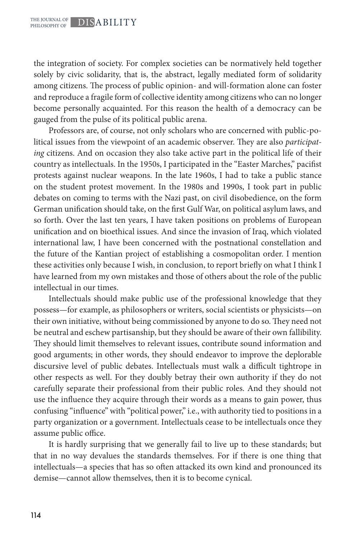the integration of society. For complex societies can be normatively held together solely by civic solidarity, that is, the abstract, legally mediated form of solidarity among citizens. The process of public opinion- and will-formation alone can foster and reproduce a fragile form of collective identity among citizens who can no longer become personally acquainted. For this reason the health of a democracy can be gauged from the pulse of its political public arena.

Professors are, of course, not only scholars who are concerned with public-political issues from the viewpoint of an academic observer. They are also *participating* citizens. And on occasion they also take active part in the political life of their country as intellectuals. In the 1950s, I participated in the "Easter Marches," pacifist protests against nuclear weapons. In the late 1960s, I had to take a public stance on the student protest movement. In the 1980s and 1990s, I took part in public debates on coming to terms with the Nazi past, on civil disobedience, on the form German unification should take, on the first Gulf War, on political asylum laws, and so forth. Over the last ten years, I have taken positions on problems of European unification and on bioethical issues. And since the invasion of Iraq, which violated international law, I have been concerned with the postnational constellation and the future of the Kantian project of establishing a cosmopolitan order. I mention these activities only because I wish, in conclusion, to report briefly on what I think I have learned from my own mistakes and those of others about the role of the public intellectual in our times.

Intellectuals should make public use of the professional knowledge that they possess—for example, as philosophers or writers, social scientists or physicists—on their own initiative, without being commissioned by anyone to do so. They need not be neutral and eschew partisanship, but they should be aware of their own fallibility. They should limit themselves to relevant issues, contribute sound information and good arguments; in other words, they should endeavor to improve the deplorable discursive level of public debates. Intellectuals must walk a difficult tightrope in other respects as well. For they doubly betray their own authority if they do not carefully separate their professional from their public roles. And they should not use the influence they acquire through their words as a means to gain power, thus confusing "influence" with "political power," i.e., with authority tied to positions in a party organization or a government. Intellectuals cease to be intellectuals once they assume public office.

It is hardly surprising that we generally fail to live up to these standards; but that in no way devalues the standards themselves. For if there is one thing that intellectuals—a species that has so often attacked its own kind and pronounced its demise—cannot allow themselves, then it is to become cynical.